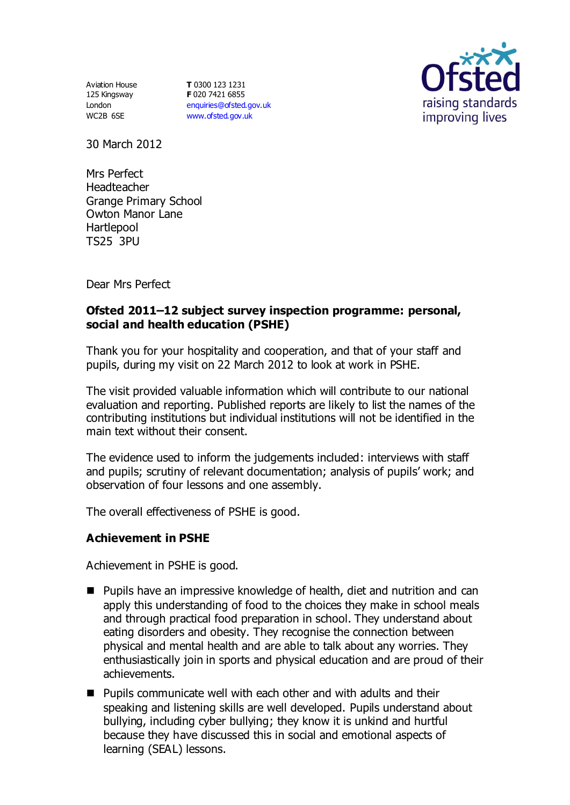Aviation House 125 Kingsway London WC2B 6SE

**T** 0300 123 1231 **F** 020 7421 6855 [enquiries@ofsted.gov.uk](mailto:enquiries@ofsted.gov.uk) [www.ofsted.gov.uk](http://www.ofsted.gov.uk/)



30 March 2012

Mrs Perfect Headteacher Grange Primary School Owton Manor Lane **Hartlepool** TS25 3PU

Dear Mrs Perfect

### **Ofsted 2011–12 subject survey inspection programme: personal, social and health education (PSHE)**

Thank you for your hospitality and cooperation, and that of your staff and pupils, during my visit on 22 March 2012 to look at work in PSHE.

The visit provided valuable information which will contribute to our national evaluation and reporting. Published reports are likely to list the names of the contributing institutions but individual institutions will not be identified in the main text without their consent.

The evidence used to inform the judgements included: interviews with staff and pupils; scrutiny of relevant documentation; analysis of pupils' work; and observation of four lessons and one assembly.

The overall effectiveness of PSHE is good.

#### **Achievement in PSHE**

Achievement in PSHE is good.

- Pupils have an impressive knowledge of health, diet and nutrition and can apply this understanding of food to the choices they make in school meals and through practical food preparation in school. They understand about eating disorders and obesity. They recognise the connection between physical and mental health and are able to talk about any worries. They enthusiastically join in sports and physical education and are proud of their achievements.
- Pupils communicate well with each other and with adults and their speaking and listening skills are well developed. Pupils understand about bullying, including cyber bullying; they know it is unkind and hurtful because they have discussed this in social and emotional aspects of learning (SEAL) lessons.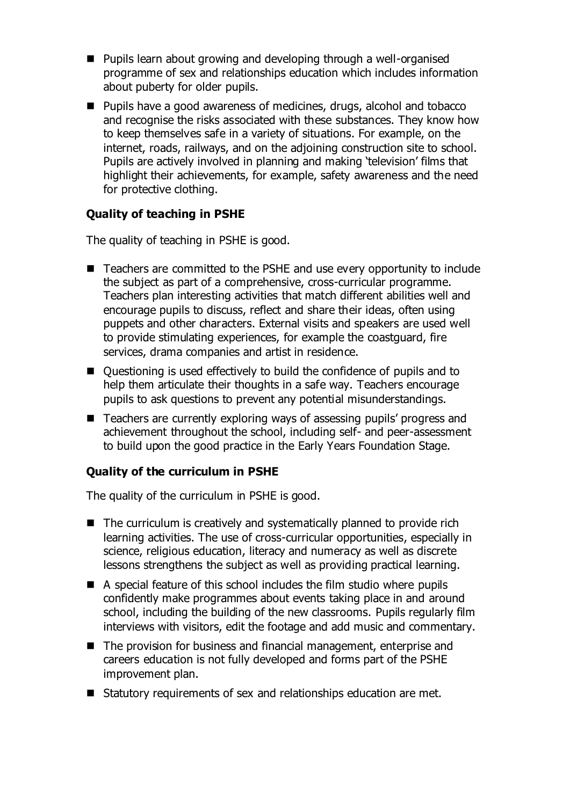- Pupils learn about growing and developing through a well-organised programme of sex and relationships education which includes information about puberty for older pupils.
- **Pupils have a good awareness of medicines, drugs, alcohol and tobacco** and recognise the risks associated with these substances. They know how to keep themselves safe in a variety of situations. For example, on the internet, roads, railways, and on the adjoining construction site to school. Pupils are actively involved in planning and making 'television' films that highlight their achievements, for example, safety awareness and the need for protective clothing.

## **Quality of teaching in PSHE**

The quality of teaching in PSHE is good.

- Teachers are committed to the PSHE and use every opportunity to include the subject as part of a comprehensive, cross-curricular programme. Teachers plan interesting activities that match different abilities well and encourage pupils to discuss, reflect and share their ideas, often using puppets and other characters. External visits and speakers are used well to provide stimulating experiences, for example the coastguard, fire services, drama companies and artist in residence.
- Questioning is used effectively to build the confidence of pupils and to help them articulate their thoughts in a safe way. Teachers encourage pupils to ask questions to prevent any potential misunderstandings.
- Teachers are currently exploring ways of assessing pupils' progress and achievement throughout the school, including self- and peer-assessment to build upon the good practice in the Early Years Foundation Stage.

#### **Quality of the curriculum in PSHE**

The quality of the curriculum in PSHE is good.

- The curriculum is creatively and systematically planned to provide rich learning activities. The use of cross-curricular opportunities, especially in science, religious education, literacy and numeracy as well as discrete lessons strengthens the subject as well as providing practical learning.
- A special feature of this school includes the film studio where pupils confidently make programmes about events taking place in and around school, including the building of the new classrooms. Pupils regularly film interviews with visitors, edit the footage and add music and commentary.
- The provision for business and financial management, enterprise and careers education is not fully developed and forms part of the PSHE improvement plan.
- Statutory requirements of sex and relationships education are met.